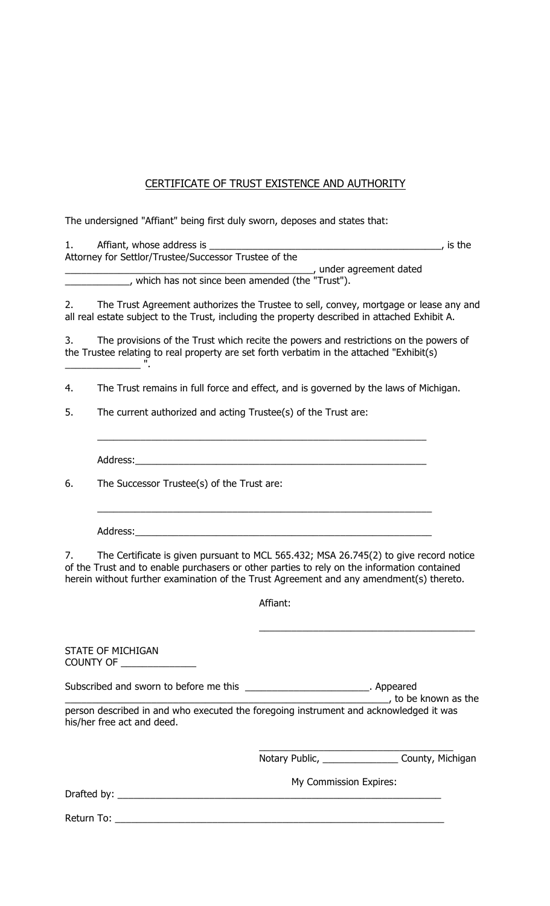## CERTIFICATE OF TRUST EXISTENCE AND AUTHORITY

The undersigned "Affiant" being first duly sworn, deposes and states that:

| Affiant, whose address is                             | is the |
|-------------------------------------------------------|--------|
| Attorney for Settlor/Trustee/Successor Trustee of the |        |
| , under agreement dated                               |        |
| which has not since been amended (the "Trust").       |        |

2. The Trust Agreement authorizes the Trustee to sell, convey, mortgage or lease any and all real estate subject to the Trust, including the property described in attached Exhibit A.

3. The provisions of the Trust which recite the powers and restrictions on the powers of the Trustee relating to real property are set forth verbatim in the attached "Exhibit(s)  $\frac{1}{2}$  . The set of the set of the set of the set of the set of the set of the set of the set of the set of the set of the set of the set of the set of the set of the set of the set of the set of the set of the set of

4. The Trust remains in full force and effect, and is governed by the laws of Michigan.

\_\_\_\_\_\_\_\_\_\_\_\_\_\_\_\_\_\_\_\_\_\_\_\_\_\_\_\_\_\_\_\_\_\_\_\_\_\_\_\_\_\_\_\_\_\_\_\_\_\_\_\_\_\_\_\_\_\_\_\_\_

\_\_\_\_\_\_\_\_\_\_\_\_\_\_\_\_\_\_\_\_\_\_\_\_\_\_\_\_\_\_\_\_\_\_\_\_\_\_\_\_\_\_\_\_\_\_\_\_\_\_\_\_\_\_\_\_\_\_\_\_\_\_

5. The current authorized and acting Trustee(s) of the Trust are:

Address:

6. The Successor Trustee(s) of the Trust are:

Address:\_\_\_\_\_\_\_\_\_\_\_\_\_\_\_\_\_\_\_\_\_\_\_\_\_\_\_\_\_\_\_\_\_\_\_\_\_\_\_\_\_\_\_\_\_\_\_\_\_\_\_\_\_\_\_

7. The Certificate is given pursuant to MCL 565.432; MSA 26.745(2) to give record notice of the Trust and to enable purchasers or other parties to rely on the information contained herein without further examination of the Trust Agreement and any amendment(s) thereto.

Affiant:

\_\_\_\_\_\_\_\_\_\_\_\_\_\_\_\_\_\_\_\_\_\_\_\_\_\_\_\_\_\_\_\_\_\_\_\_\_\_\_\_

STATE OF MICHIGAN COUNTY OF \_\_\_\_\_\_\_\_\_ Subscribed and sworn to before me this \_\_\_\_\_\_\_\_\_\_\_\_\_\_\_\_\_\_\_\_\_\_\_\_\_\_. Appeared  $\overline{-}$ , to be known as the person described in and who executed the foregoing instrument and acknowledged it was his/her free act and deed. \_\_\_\_\_\_\_\_\_\_\_\_\_\_\_\_\_\_\_\_\_\_\_\_\_\_\_\_\_\_\_\_\_\_\_\_ Notary Public, \_\_\_\_\_\_\_\_\_\_\_\_\_\_\_\_\_\_\_\_ County, Michigan My Commission Expires: Drafted by:  $\frac{1}{2}$ 

Return To: \_\_\_\_\_\_\_\_\_\_\_\_\_\_\_\_\_\_\_\_\_\_\_\_\_\_\_\_\_\_\_\_\_\_\_\_\_\_\_\_\_\_\_\_\_\_\_\_\_\_\_\_\_\_\_\_\_\_\_\_\_